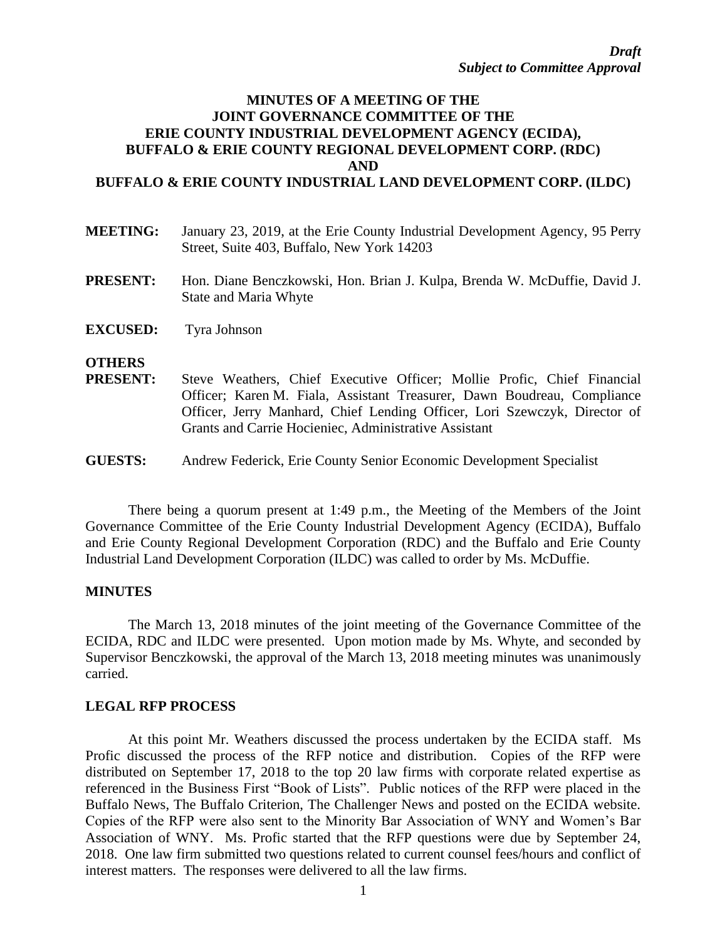## **MINUTES OF A MEETING OF THE JOINT GOVERNANCE COMMITTEE OF THE ERIE COUNTY INDUSTRIAL DEVELOPMENT AGENCY (ECIDA), BUFFALO & ERIE COUNTY REGIONAL DEVELOPMENT CORP. (RDC) AND BUFFALO & ERIE COUNTY INDUSTRIAL LAND DEVELOPMENT CORP. (ILDC)**

| <b>MEETING:</b>                  | January 23, 2019, at the Erie County Industrial Development Agency, 95 Perry<br>Street, Suite 403, Buffalo, New York 14203                                                                                                                                                               |
|----------------------------------|------------------------------------------------------------------------------------------------------------------------------------------------------------------------------------------------------------------------------------------------------------------------------------------|
| <b>PRESENT:</b>                  | Hon. Diane Benczkowski, Hon. Brian J. Kulpa, Brenda W. McDuffie, David J.<br><b>State and Maria Whyte</b>                                                                                                                                                                                |
| <b>EXCUSED:</b>                  | Tyra Johnson                                                                                                                                                                                                                                                                             |
| <b>OTHERS</b><br><b>PRESENT:</b> | Steve Weathers, Chief Executive Officer; Mollie Profic, Chief Financial<br>Officer; Karen M. Fiala, Assistant Treasurer, Dawn Boudreau, Compliance<br>Officer, Jerry Manhard, Chief Lending Officer, Lori Szewczyk, Director of<br>Grants and Carrie Hocieniec, Administrative Assistant |
| <b>GUESTS:</b>                   | Andrew Federick, Erie County Senior Economic Development Specialist                                                                                                                                                                                                                      |

There being a quorum present at 1:49 p.m., the Meeting of the Members of the Joint Governance Committee of the Erie County Industrial Development Agency (ECIDA), Buffalo and Erie County Regional Development Corporation (RDC) and the Buffalo and Erie County Industrial Land Development Corporation (ILDC) was called to order by Ms. McDuffie.

## **MINUTES**

The March 13, 2018 minutes of the joint meeting of the Governance Committee of the ECIDA, RDC and ILDC were presented. Upon motion made by Ms. Whyte, and seconded by Supervisor Benczkowski, the approval of the March 13, 2018 meeting minutes was unanimously carried.

## **LEGAL RFP PROCESS**

At this point Mr. Weathers discussed the process undertaken by the ECIDA staff. Ms Profic discussed the process of the RFP notice and distribution. Copies of the RFP were distributed on September 17, 2018 to the top 20 law firms with corporate related expertise as referenced in the Business First "Book of Lists". Public notices of the RFP were placed in the Buffalo News, The Buffalo Criterion, The Challenger News and posted on the ECIDA website. Copies of the RFP were also sent to the Minority Bar Association of WNY and Women's Bar Association of WNY. Ms. Profic started that the RFP questions were due by September 24, 2018. One law firm submitted two questions related to current counsel fees/hours and conflict of interest matters. The responses were delivered to all the law firms.